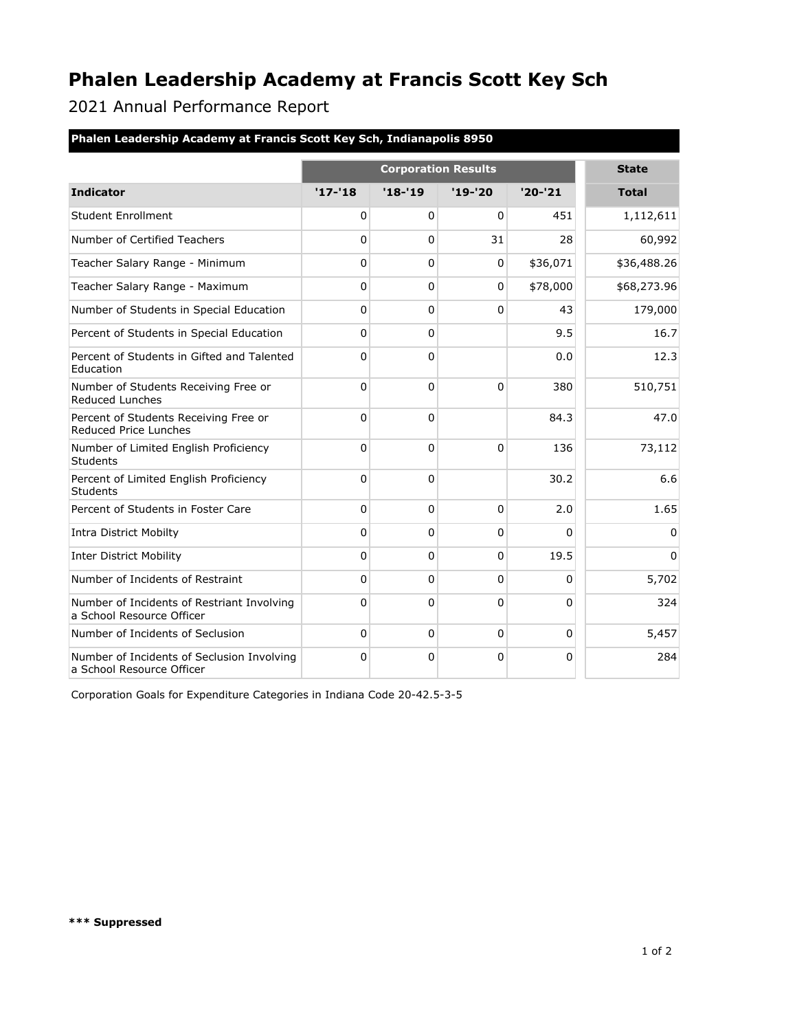## **Phalen Leadership Academy at Francis Scott Key Sch**

2021 Annual Performance Report

| <b>Phalen Leadership Academy at Francis Scott Key Sch, Indianapolis 8950</b> |                            |             |              |           |              |  |  |  |
|------------------------------------------------------------------------------|----------------------------|-------------|--------------|-----------|--------------|--|--|--|
|                                                                              | <b>Corporation Results</b> |             |              |           | <b>State</b> |  |  |  |
| <b>Indicator</b>                                                             | $'17-'18$                  | $'18 - 19$  | $'19 - '20$  | $'20-'21$ | <b>Total</b> |  |  |  |
| <b>Student Enrollment</b>                                                    | 0                          | 0           | 0            | 451       | 1,112,611    |  |  |  |
| Number of Certified Teachers                                                 | 0                          | $\Omega$    | 31           | 28        | 60,992       |  |  |  |
| Teacher Salary Range - Minimum                                               | $\Omega$                   | $\pmb{0}$   | $\Omega$     | \$36,071  | \$36,488.26  |  |  |  |
| Teacher Salary Range - Maximum                                               | 0                          | 0           | 0            | \$78,000  | \$68,273.96  |  |  |  |
| Number of Students in Special Education                                      | 0                          | $\mathbf 0$ | 0            | 43        | 179,000      |  |  |  |
| Percent of Students in Special Education                                     | 0                          | $\Omega$    |              | 9.5       | 16.7         |  |  |  |
| Percent of Students in Gifted and Talented<br>Education                      | 0                          | 0           |              | 0.0       | 12.3         |  |  |  |
| Number of Students Receiving Free or<br><b>Reduced Lunches</b>               | $\Omega$                   | $\Omega$    | $\Omega$     | 380       | 510,751      |  |  |  |
| Percent of Students Receiving Free or<br>Reduced Price Lunches               | 0                          | $\Omega$    |              | 84.3      | 47.0         |  |  |  |
| Number of Limited English Proficiency<br>Students                            | 0                          | $\Omega$    | $\Omega$     | 136       | 73,112       |  |  |  |
| Percent of Limited English Proficiency<br><b>Students</b>                    | $\Omega$                   | $\mathbf 0$ |              | 30.2      | 6.6          |  |  |  |
| Percent of Students in Foster Care                                           | $\Omega$                   | 0           | $\mathbf{0}$ | 2.0       | 1.65         |  |  |  |
| <b>Intra District Mobilty</b>                                                | $\Omega$                   | $\mathbf 0$ | $\Omega$     | 0         | $\Omega$     |  |  |  |
| <b>Inter District Mobility</b>                                               | 0                          | $\Omega$    | 0            | 19.5      | $\mathbf{0}$ |  |  |  |
| Number of Incidents of Restraint                                             | $\Omega$                   | $\mathbf 0$ | 0            | 0         | 5,702        |  |  |  |
| Number of Incidents of Restriant Involving<br>a School Resource Officer      | 0                          | 0           | 0            | 0         | 324          |  |  |  |
| Number of Incidents of Seclusion                                             | $\Omega$                   | $\mathbf 0$ | $\Omega$     | $\Omega$  | 5,457        |  |  |  |
| Number of Incidents of Seclusion Involving<br>a School Resource Officer      | $\Omega$                   | $\mathbf 0$ | 0            | 0         | 284          |  |  |  |

Corporation Goals for Expenditure Categories in Indiana Code 20-42.5-3-5